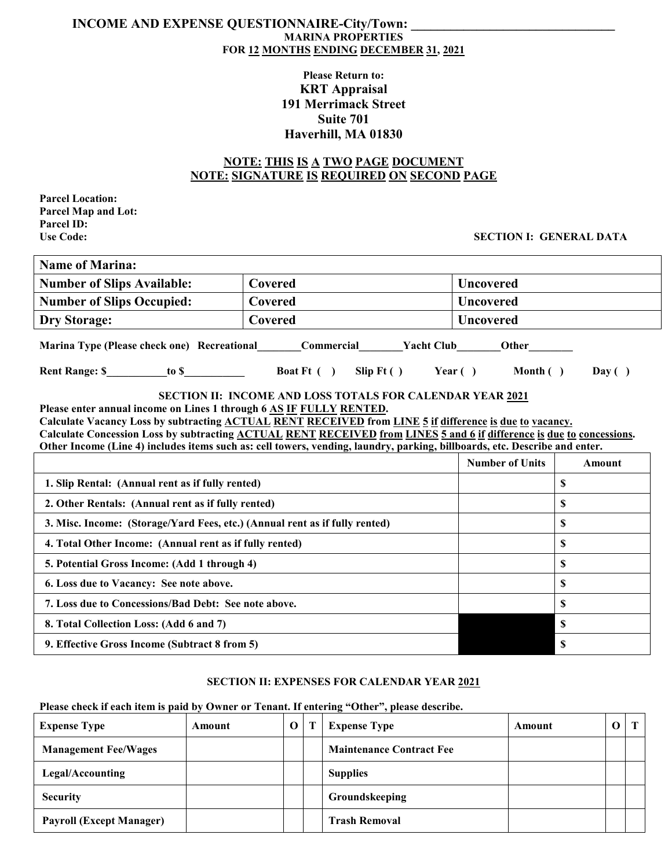## **INCOME AND EXPENSE QUESTIONNAIRE-City/Town: MARINA PROPERTIES FOR 12 MONTHS ENDING DECEMBER 31, 2021**

# **Please Return to: KRT Appraisal 191 Merrimack Street Suite 701 Haverhill, MA 01830**

## **NOTE: THIS IS A TWO PAGE DOCUMENT NOTE: SIGNATURE IS REQUIRED ON SECOND PAGE**

**Parcel Location: Parcel Map and Lot: Parcel ID:**

## **Use Code: SECTION I: GENERAL DATA**

| Name of Marina:                   |                |                  |  |  |  |
|-----------------------------------|----------------|------------------|--|--|--|
| <b>Number of Slips Available:</b> | <b>Covered</b> | <b>Uncovered</b> |  |  |  |
| <b>Number of Slips Occupied:</b>  | Covered        | <b>Uncovered</b> |  |  |  |
| Dry Storage:                      | <b>Covered</b> | <b>Uncovered</b> |  |  |  |
|                                   |                |                  |  |  |  |

**Marina Type (Please check one) Recreational Commercial Yacht Club Other** 

**Rent Range: \$\_\_\_\_\_\_\_\_\_\_\_to \$\_\_\_\_\_\_\_\_\_\_\_ Boat Ft ( ) Slip Ft ( ) Year ( ) Month ( ) Day ( )**

**SECTION II: INCOME AND LOSS TOTALS FOR CALENDAR YEAR 2021**

**Please enter annual income on Lines 1 through 6 AS IF FULLY RENTED.**

**Calculate Vacancy Loss by subtracting ACTUAL RENT RECEIVED from LINE 5 if difference is due to vacancy.**

**Calculate Concession Loss by subtracting ACTUAL RENT RECEIVED from LINES 5 and 6 if difference is due to concessions. Other Income (Line 4) includes items such as: cell towers, vending, laundry, parking, billboards, etc. Describe and enter.**

|                                                                             | <b>Number of Units</b> | Amount |
|-----------------------------------------------------------------------------|------------------------|--------|
| 1. Slip Rental: (Annual rent as if fully rented)                            |                        |        |
| 2. Other Rentals: (Annual rent as if fully rented)                          |                        |        |
| 3. Misc. Income: (Storage/Yard Fees, etc.) (Annual rent as if fully rented) |                        | S      |
| 4. Total Other Income: (Annual rent as if fully rented)                     |                        | S      |
| 5. Potential Gross Income: (Add 1 through 4)                                |                        |        |
| 6. Loss due to Vacancy: See note above.                                     |                        | D      |
| 7. Loss due to Concessions/Bad Debt: See note above.                        |                        | S      |
| 8. Total Collection Loss: (Add 6 and 7)                                     |                        | -S     |
| 9. Effective Gross Income (Subtract 8 from 5)                               |                        | -S     |

### **SECTION II: EXPENSES FOR CALENDAR YEAR 2021**

#### **Please check if each item is paid by Owner or Tenant. If entering "Other", please describe.**

| <b>Expense Type</b>             | Amount |  | <b>Expense Type</b>             | Amount |  |
|---------------------------------|--------|--|---------------------------------|--------|--|
| <b>Management Fee/Wages</b>     |        |  | <b>Maintenance Contract Fee</b> |        |  |
| Legal/Accounting                |        |  | <b>Supplies</b>                 |        |  |
| <b>Security</b>                 |        |  | Groundskeeping                  |        |  |
| <b>Payroll (Except Manager)</b> |        |  | <b>Trash Removal</b>            |        |  |